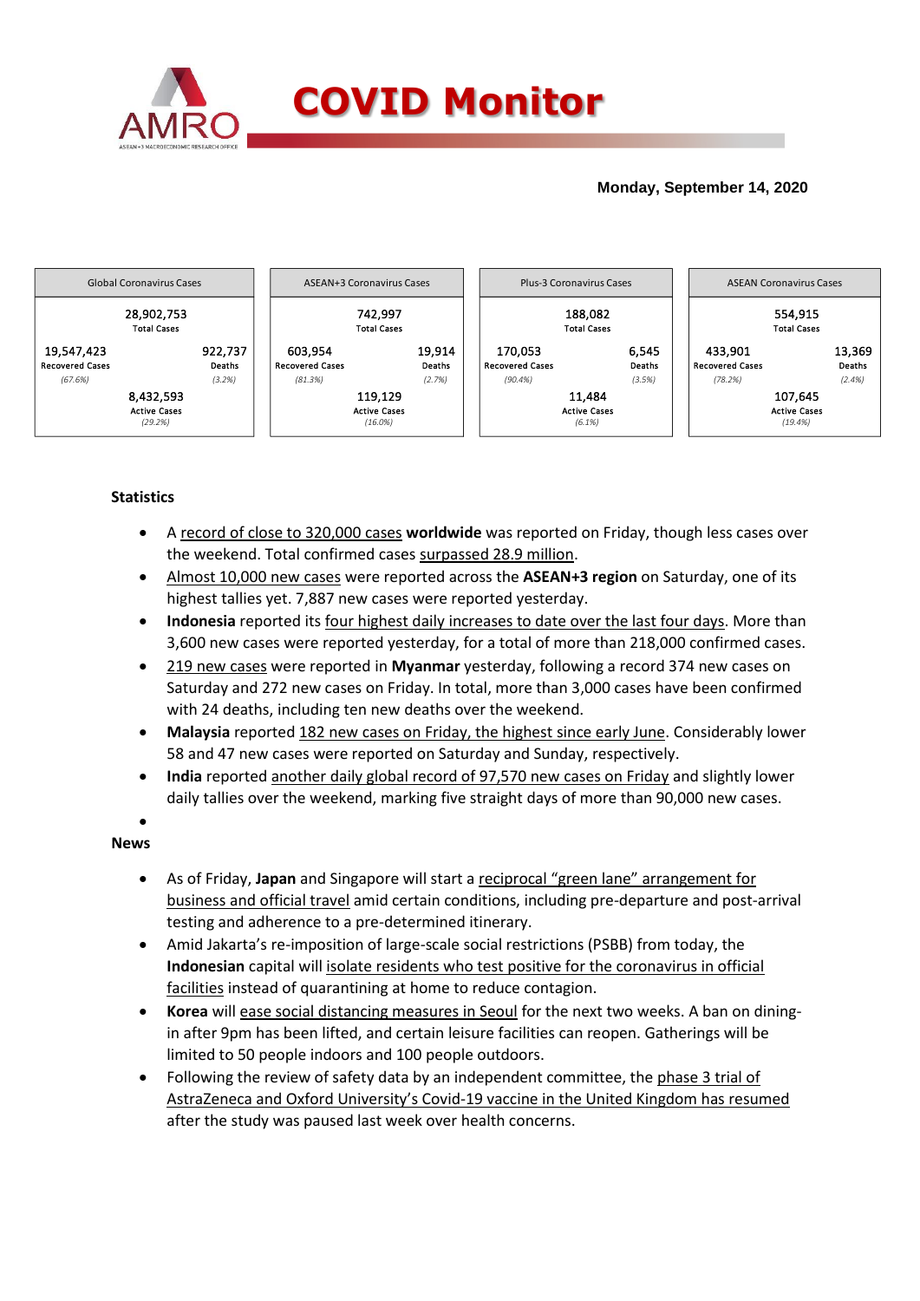

## **Monday, September 14, 2020**



## **Statistics**

- A record of close to 320,000 cases **worldwide** was reported on Friday, though less cases over the weekend. Total confirmed cases surpassed 28.9 million.
- Almost 10,000 new cases were reported across the **ASEAN+3 region** on Saturday, one of its highest tallies yet. 7,887 new cases were reported yesterday.
- **Indonesia** reported its four highest daily increases to date over the last four days. More than 3,600 new cases were reported yesterday, for a total of more than 218,000 confirmed cases.
- 219 new cases were reported in **Myanmar** yesterday, following a record 374 new cases on Saturday and 272 new cases on Friday. In total, more than 3,000 cases have been confirmed with 24 deaths, including ten new deaths over the weekend.
- **Malaysia** reported 182 new cases on Friday, the highest since early June. Considerably lower 58 and 47 new cases were reported on Saturday and Sunday, respectively.
- **India** reported another daily global record of 97,570 new cases on Friday and slightly lower daily tallies over the weekend, marking five straight days of more than 90,000 new cases.

## $\bullet$ **News**

- As of Friday, **Japan** and Singapore will start a reciprocal "green lane" arrangement for business and official travel amid certain conditions, including pre-departure and post-arrival testing and adherence to a pre-determined itinerary.
- Amid Jakarta's re-imposition of large-scale social restrictions (PSBB) from today, the **Indonesian** capital will isolate residents who test positive for the coronavirus in official facilities instead of quarantining at home to reduce contagion.
- **Korea** will ease social distancing measures in Seoul for the next two weeks. A ban on diningin after 9pm has been lifted, and certain leisure facilities can reopen. Gatherings will be limited to 50 people indoors and 100 people outdoors.
- Following the review of safety data by an independent committee, the phase 3 trial of AstraZeneca and Oxford University's Covid-19 vaccine in the United Kingdom has resumed after the study was paused last week over health concerns.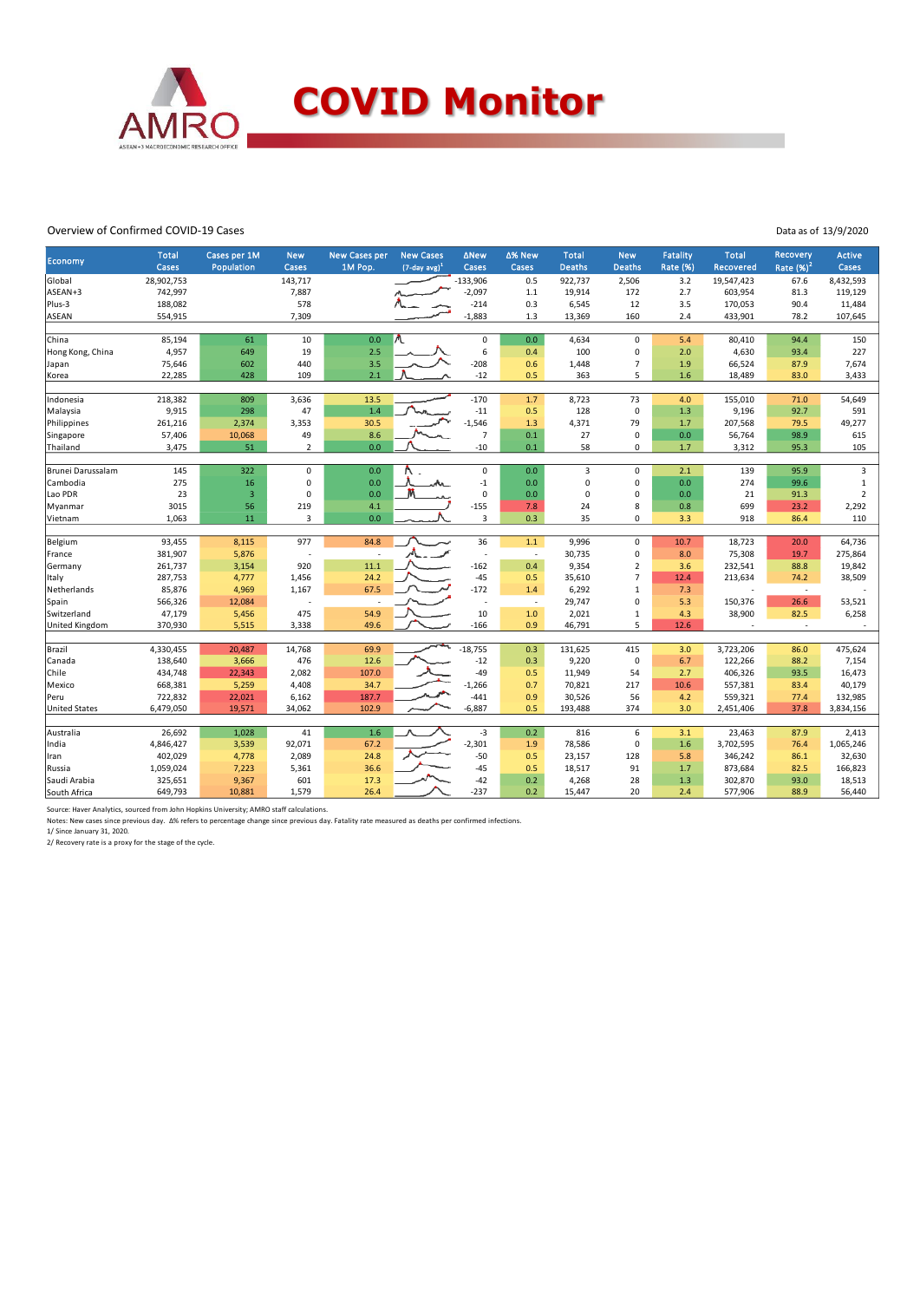

## Overview of Confirmed COVID-19 Cases

Data as of 13/9/2020

| <b>Economy</b>       | <b>Total</b> | Cases per 1M            | <b>New</b>     | New Cases per | <b>New Cases</b>            | <b>ANew</b>     | ∆% New                   | <b>Total</b>   | <b>New</b>     | <b>Fatality</b> | <b>Total</b> | <b>Recovery</b>                  | <b>Active</b>  |
|----------------------|--------------|-------------------------|----------------|---------------|-----------------------------|-----------------|--------------------------|----------------|----------------|-----------------|--------------|----------------------------------|----------------|
|                      | Cases        | Population              | Cases          | 1M Pop.       | $(7$ -day avg) <sup>1</sup> | Cases           | Cases                    | <b>Deaths</b>  | <b>Deaths</b>  | Rate (%)        | Recovered    | Rate $(%)2$                      | Cases          |
| Global               | 28,902,753   |                         | 143,717        |               |                             | $-133,906$      | 0.5                      | 922,737        | 2,506          | 3.2             | 19,547,423   | 67.6                             | 8,432,593      |
| ASEAN+3              | 742,997      |                         | 7,887          |               |                             | $-2,097$        | 1.1                      | 19,914         | 172            | 2.7             | 603,954      | 81.3                             | 119,129        |
| Plus-3               | 188,082      |                         | 578            |               |                             | $-214$          | 0.3                      | 6,545          | 12             | 3.5             | 170,053      | 90.4                             | 11,484         |
| <b>ASEAN</b>         | 554,915      |                         | 7,309          |               |                             | $-1,883$        | 1.3                      | 13,369         | 160            | 2.4             | 433,901      | 78.2                             | 107,645        |
| China                | 85,194       | 61                      | 10             | 0.0           |                             | $\pmb{0}$       | 0.0                      | 4,634          | 0              | 5.4             | 80,410       | 94.4                             | 150            |
| Hong Kong, China     | 4,957        | 649                     | 19             | 2.5           |                             | $6\phantom{1}6$ | 0.4                      | 100            | 0              | 2.0             | 4,630        | 93.4                             | 227            |
| Japan                | 75,646       | 602                     | 440            | 3.5           |                             | $-208$          | 0.6                      | 1,448          | $\overline{7}$ | 1.9             | 66,524       | 87.9                             | 7,674          |
| Korea                | 22,285       | 428                     | 109            | 2.1           |                             | $-12$           | 0.5                      | 363            | 5              | 1.6             | 18,489       | 83.0                             | 3,433          |
| Indonesia            | 218,382      | 809                     | 3,636          | 13.5          |                             | $-170$          | 1.7                      | 8,723          | 73             | 4.0             | 155,010      | 71.0                             | 54,649         |
| Malaysia             | 9,915        | 298                     | 47             | 1.4           |                             | $-11$           | 0.5                      | 128            | $\mathsf 0$    | 1.3             | 9,196        | 92.7                             | 591            |
| Philippines          | 261,216      | 2,374                   | 3,353          | 30.5          |                             | $-1,546$        | 1.3                      | 4,371          | 79             | 1.7             | 207,568      | 79.5                             | 49,277         |
| Singapore            | 57,406       | 10,068                  | 49             | 8.6           |                             | $\overline{7}$  | 0.1                      | 27             | $\mathbf 0$    | 0.0             | 56,764       | 98.9                             | 615            |
| Thailand             | 3,475        | 51                      | $\overline{2}$ | 0.0           |                             | $-10$           | 0.1                      | 58             | 0              | 1.7             | 3,312        | 95.3                             | 105            |
|                      |              |                         |                |               |                             |                 |                          |                |                |                 |              |                                  |                |
| Brunei Darussalam    | 145          | 322                     | $\mathbf 0$    | 0.0           |                             | $\mathbf 0$     | 0.0                      | $\overline{3}$ | $\mathbf 0$    | 2.1             | 139          | 95.9                             | $\mathbf{3}$   |
| Cambodia             | 275          | 16                      | $\mathbf 0$    | 0.0           | n.                          | $-1$            | 0.0                      | $\mathbf 0$    | $\Omega$       | 0.0             | 274          | 99.6                             | $\mathbf 1$    |
| Lao PDR              | 23           | $\overline{\mathbf{3}}$ | $\Omega$       | 0.0           |                             | $\pmb{0}$       | 0.0                      | $\mathbf 0$    | $\mathbf 0$    | 0.0             | 21           | 91.3                             | $\overline{2}$ |
| Myanmar              | 3015         | 56                      | 219            | 4.1           |                             | $-155$          | 7.8                      | 24             | 8              | 0.8             | 699          | 23.2                             | 2,292          |
| Vietnam              | 1,063        | 11                      | 3              | 0.0           |                             | $\overline{3}$  | 0.3                      | 35             | 0              | 3.3             | 918          | 86.4                             | 110            |
| Belgium              | 93,455       | 8,115                   | 977            | 84.8          |                             | 36              | 1.1                      | 9,996          | 0              | 10.7            | 18,723       | 20.0                             | 64,736         |
| France               | 381,907      | 5,876                   |                |               |                             | ٠.              | $\overline{\phantom{a}}$ | 30,735         | 0              | 8.0             | 75,308       | 19.7                             | 275,864        |
| Germany              | 261,737      | 3,154                   | 920            | 11.1          |                             | $-162$          | 0.4                      | 9,354          | $\overline{2}$ | 3.6             | 232,541      | 88.8                             | 19,842         |
| Italy                | 287,753      | 4,777                   | 1,456          | 24.2          |                             | $-45$           | 0.5                      | 35,610         | $\overline{7}$ | 12.4            | 213,634      | 74.2                             | 38,509         |
| Netherlands          | 85,876       | 4,969                   | 1,167          | 67.5          |                             | $-172$          | 1.4                      | 6,292          | $\mathbf{1}$   | 7.3             |              |                                  |                |
| Spain                | 566,326      | 12,084                  |                | ×             |                             | J.              | $\sim$                   | 29,747         | 0              | 5.3             | 150,376      | $\overline{\phantom{a}}$<br>26.6 | 53,521         |
| Switzerland          | 47,179       | 5,456                   | 475            | 54.9          |                             | 10              | 1.0                      | 2,021          | 1              | 4.3             | 38,900       | 82.5                             | 6,258          |
| United Kingdom       | 370,930      | 5,515                   | 3,338          | 49.6          |                             | $-166$          | 0.9                      | 46,791         | 5              | 12.6            |              | $\sim$                           |                |
|                      |              |                         |                |               |                             |                 |                          |                |                |                 |              |                                  |                |
| Brazil               | 4,330,455    | 20,487                  | 14,768         | 69.9          |                             | $-18,755$       | 0.3                      | 131,625        | 415            | 3.0             | 3,723,206    | 86.0                             | 475,624        |
| Canada               | 138,640      | 3,666                   | 476            | 12.6          |                             | $-12$           | 0.3                      | 9,220          | $\mathbf 0$    | 6.7             | 122,266      | 88.2                             | 7,154          |
| Chile                | 434,748      | 22,343                  | 2,082          | 107.0         |                             | $-49$           | 0.5                      | 11,949         | 54             | 2.7             | 406,326      | 93.5                             | 16,473         |
| Mexico               | 668,381      | 5,259                   | 4,408          | 34.7          |                             | $-1,266$        | 0.7                      | 70,821         | 217            | 10.6            | 557,381      | 83.4                             | 40,179         |
| Peru                 | 722,832      | 22,021                  | 6,162          | 187.7         |                             | $-441$          | 0.9                      | 30,526         | 56             | 4.2             | 559,321      | 77.4                             | 132,985        |
| <b>United States</b> | 6,479,050    | 19,571                  | 34,062         | 102.9         |                             | $-6,887$        | 0.5                      | 193,488        | 374            | 3.0             | 2,451,406    | 37.8                             | 3,834,156      |
| Australia            | 26,692       | 1,028                   | 41             | 1.6           |                             | $-3$            | 0.2                      | 816            | 6              | 3.1             | 23,463       | 87.9                             | 2,413          |
|                      |              | 3,539                   | 92,071         | 67.2          |                             | $-2,301$        | 1.9                      | 78,586         | $\mathbf 0$    | 1.6             | 3,702,595    |                                  | 1,065,246      |
| India                | 4,846,427    |                         | 2,089          | 24.8          |                             | $-50$           | 0.5                      |                | 128            |                 | 346,242      | 76.4                             |                |
| Iran                 | 402,029      | 4,778                   |                |               |                             |                 |                          | 23,157         | 91             | 5.8             |              | 86.1                             | 32,630         |
| Russia               | 1,059,024    | 7,223                   | 5,361          | 36.6          |                             | $-45$           | 0.5                      | 18,517         |                | 1.7             | 873,684      | 82.5                             | 166,823        |
| Saudi Arabia         | 325,651      | 9,367                   | 601            | 17.3          |                             | $-42$           | 0.2                      | 4,268          | 28             | 1.3             | 302,870      | 93.0                             | 18,513         |
| South Africa         | 649,793      | 10,881                  | 1,579          | 26.4          |                             | $-237$          | 0.2                      | 15,447         | 20             | 2.4             | 577,906      | 88.9                             | 56,440         |

Source: Haver Analytics, sourced from John Hopkins University; AMRO staff calculations.<br>Notes: New cases since previous day. A% refers to percentage change since previous day. Fatality rate measured as deaths per confirmed

1/ Since January 31, 2020. 2/ Recovery rate is a proxy for the stage of the cycle.